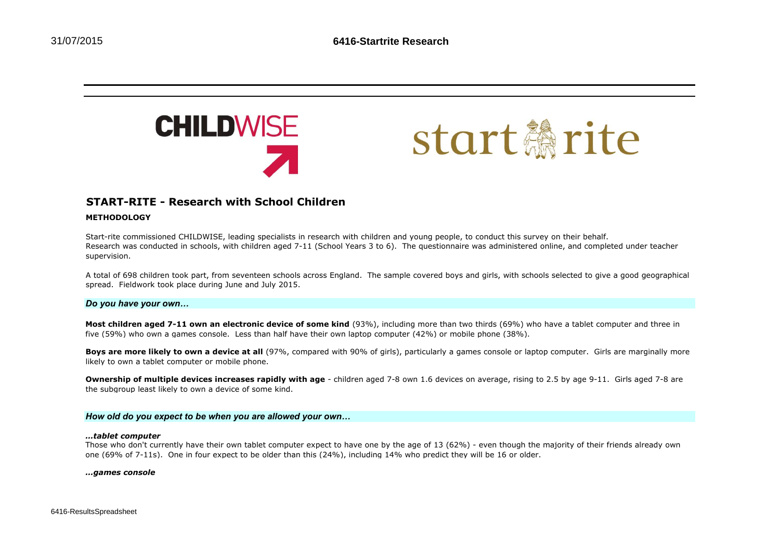



# **START-RITE - Research with School Children**

## **METHODOLOGY**

Start-rite commissioned CHILDWISE, leading specialists in research with children and young people, to conduct this survey on their behalf. Research was conducted in schools, with children aged 7-11 (School Years 3 to 6). The questionnaire was administered online, and completed under teacher supervision.

A total of 698 children took part, from seventeen schools across England. The sample covered boys and girls, with schools selected to give a good geographical spread. Fieldwork took place during June and July 2015.

### *Do you have your own…*

**Most children aged 7-11 own an electronic device of some kind** (93%), including more than two thirds (69%) who have a tablet computer and three in five (59%) who own a games console. Less than half have their own laptop computer (42%) or mobile phone (38%).

**Boys are more likely to own a device at all** (97%, compared with 90% of girls), particularly a games console or laptop computer. Girls are marginally more likely to own a tablet computer or mobile phone.

**Ownership of multiple devices increases rapidly with age** - children aged 7-8 own 1.6 devices on average, rising to 2.5 by age 9-11. Girls aged 7-8 are the subgroup least likely to own a device of some kind.

### *How old do you expect to be when you are allowed your own…*

#### *…tablet computer*

Those who don't currently have their own tablet computer expect to have one by the age of 13 (62%) - even though the majority of their friends already own one (69% of 7-11s). One in four expect to be older than this (24%), including 14% who predict they will be 16 or older.

*…games console*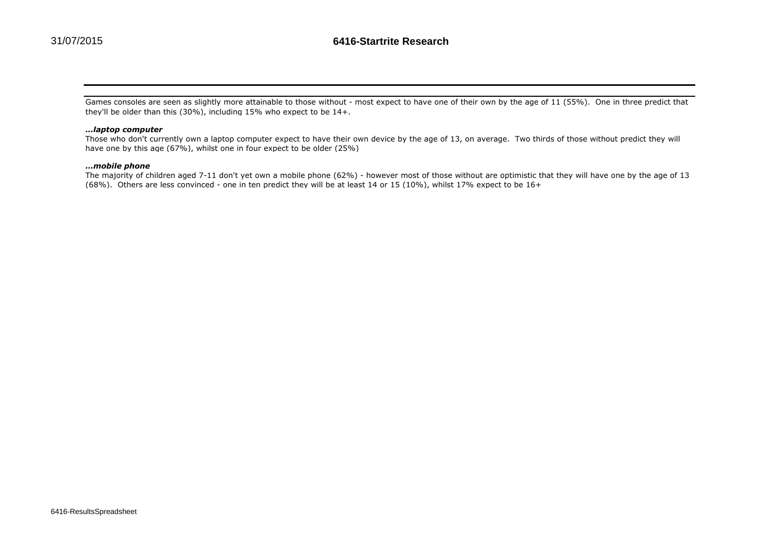Games consoles are seen as slightly more attainable to those without - most expect to have one of their own by the age of 11 (55%). One in three predict that they'll be older than this (30%), including 15% who expect to be 14+.

### *…laptop computer*

Those who don't currently own a laptop computer expect to have their own device by the age of 13, on average. Two thirds of those without predict they will have one by this age (67%), whilst one in four expect to be older (25%)

### *…mobile phone*

The majority of children aged 7-11 don't yet own a mobile phone (62%) - however most of those without are optimistic that they will have one by the age of 13 (68%). Others are less convinced - one in ten predict they will be at least 14 or 15 (10%), whilst 17% expect to be 16+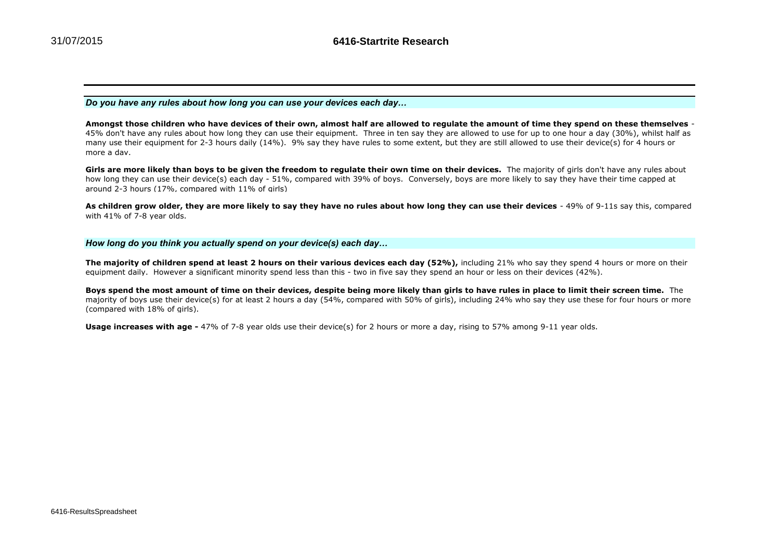*Do you have any rules about how long you can use your devices each day…*

**Amongst those children who have devices of their own, almost half are allowed to regulate the amount of time they spend on these themselves** - 45% don't have any rules about how long they can use their equipment. Three in ten say they are allowed to use for up to one hour a day (30%), whilst half as many use their equipment for 2-3 hours daily (14%). 9% say they have rules to some extent, but they are still allowed to use their device(s) for 4 hours or more a day.

Girls are more likely than boys to be given the freedom to regulate their own time on their devices. The majority of girls don't have any rules about how long they can use their device(s) each day - 51%, compared with 39% of boys. Conversely, boys are more likely to say they have their time capped at around 2-3 hours (17%, compared with 11% of girls)

As children grow older, they are more likely to say they have no rules about how long they can use their devices - 49% of 9-11s say this, compared with 41% of 7-8 year olds.

### *How long do you think you actually spend on your device(s) each day…*

**The majority of children spend at least 2 hours on their various devices each day (52%),** including 21% who say they spend 4 hours or more on their equipment daily. However a significant minority spend less than this - two in five say they spend an hour or less on their devices (42%).

**Boys spend the most amount of time on their devices, despite being more likely than girls to have rules in place to limit their screen time.** The majority of boys use their device(s) for at least 2 hours a day (54%, compared with 50% of girls), including 24% who say they use these for four hours or more (compared with 18% of girls).

**Usage increases with age -** 47% of 7-8 year olds use their device(s) for 2 hours or more a day, rising to 57% among 9-11 year olds.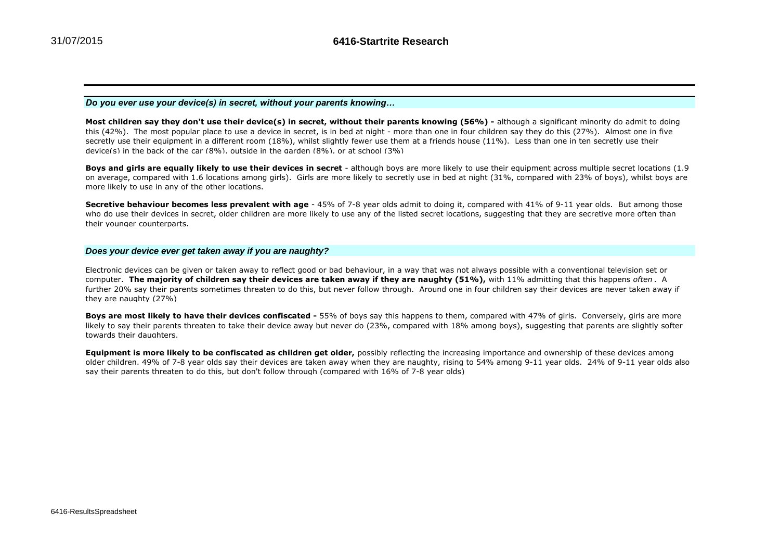*Do you ever use your device(s) in secret, without your parents knowing…*

Most children say they don't use their device(s) in secret, without their parents knowing (56%) - although a significant minority do admit to doing this (42%). The most popular place to use a device in secret, is in bed at night - more than one in four children say they do this (27%). Almost one in five secretly use their equipment in a different room (18%), whilst slightly fewer use them at a friends house (11%). Less than one in ten secretly use their device(s) in the back of the car  $(8\%)$ , outside in the garden  $(8\%)$ , or at school  $(3\%)$ 

**Boys and girls are equally likely to use their devices in secret** - although boys are more likely to use their equipment across multiple secret locations (1.9 on average, compared with 1.6 locations among girls). Girls are more likely to secretly use in bed at night (31%, compared with 23% of boys), whilst boys are more likely to use in any of the other locations.

**Secretive behaviour becomes less prevalent with age** - 45% of 7-8 year olds admit to doing it, compared with 41% of 9-11 year olds. But among those who do use their devices in secret, older children are more likely to use any of the listed secret locations, suggesting that they are secretive more often than their younger counterparts.

### *Does your device ever get taken away if you are naughty?*

Electronic devices can be given or taken away to reflect good or bad behaviour, in a way that was not always possible with a conventional television set or computer. **The majority of children say their devices are taken away if they are naughty (51%),** with 11% admitting that this happens *often* . A further 20% say their parents sometimes threaten to do this, but never follow through. Around one in four children say their devices are never taken away if they are naughty (27%)

**Boys are most likely to have their devices confiscated -** 55% of boys say this happens to them, compared with 47% of girls. Conversely, girls are more likely to say their parents threaten to take their device away but never do (23%, compared with 18% among boys), suggesting that parents are slightly softer towards their daughters.

**Equipment is more likely to be confiscated as children get older,** possibly reflecting the increasing importance and ownership of these devices among older children. 49% of 7-8 year olds say their devices are taken away when they are naughty, rising to 54% among 9-11 year olds. 24% of 9-11 year olds also say their parents threaten to do this, but don't follow through (compared with 16% of 7-8 year olds)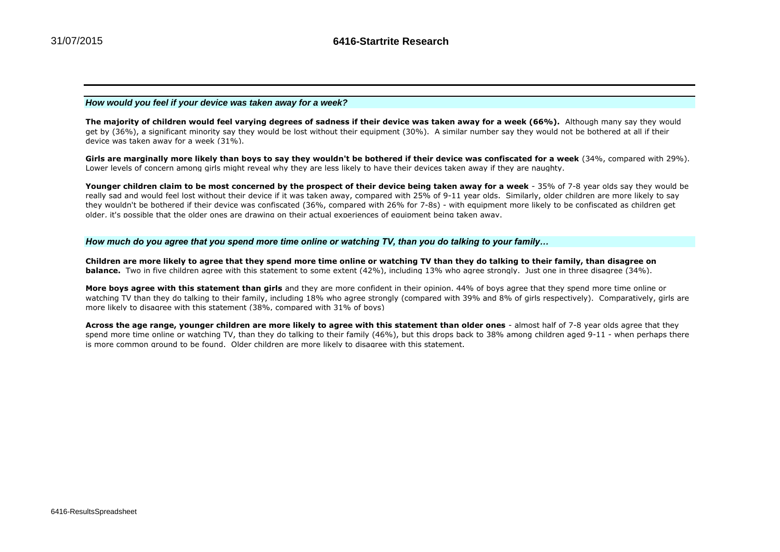## *How would you feel if your device was taken away for a week?*

The majority of children would feel varying degrees of sadness if their device was taken away for a week (66%). Although many say they would get by (36%), a significant minority say they would be lost without their equipment (30%). A similar number say they would not be bothered at all if their device was taken away for a week (31%).

Girls are marginally more likely than boys to say they wouldn't be bothered if their device was confiscated for a week (34%, compared with 29%). Lower levels of concern among girls might reveal why they are less likely to have their devices taken away if they are naughty.

**Younger children claim to be most concerned by the prospect of their device being taken away for a week** - 35% of 7-8 year olds say they would be really sad and would feel lost without their device if it was taken away, compared with 25% of 9-11 year olds. Similarly, older children are more likely to say they wouldn't be bothered if their device was confiscated (36%, compared with 26% for 7-8s) - with equipment more likely to be confiscated as children get older, it's possible that the older ones are drawing on their actual experiences of equipment being taken away.

### *How much do you agree that you spend more time online or watching TV, than you do talking to your family…*

**Children are more likely to agree that they spend more time online or watching TV than they do talking to their family, than disagree on balance.** Two in five children agree with this statement to some extent (42%), including 13% who agree strongly. Just one in three disagree (34%).

**More boys agree with this statement than girls** and they are more confident in their opinion. 44% of boys agree that they spend more time online or watching TV than they do talking to their family, including 18% who agree strongly (compared with 39% and 8% of girls respectively). Comparatively, girls are more likely to disagree with this statement (38%, compared with 31% of boys)

**Across the age range, younger children are more likely to agree with this statement than older ones** - almost half of 7-8 year olds agree that they spend more time online or watching TV, than they do talking to their family (46%), but this drops back to 38% among children aged 9-11 - when perhaps there is more common ground to be found. Older children are more likely to disagree with this statement.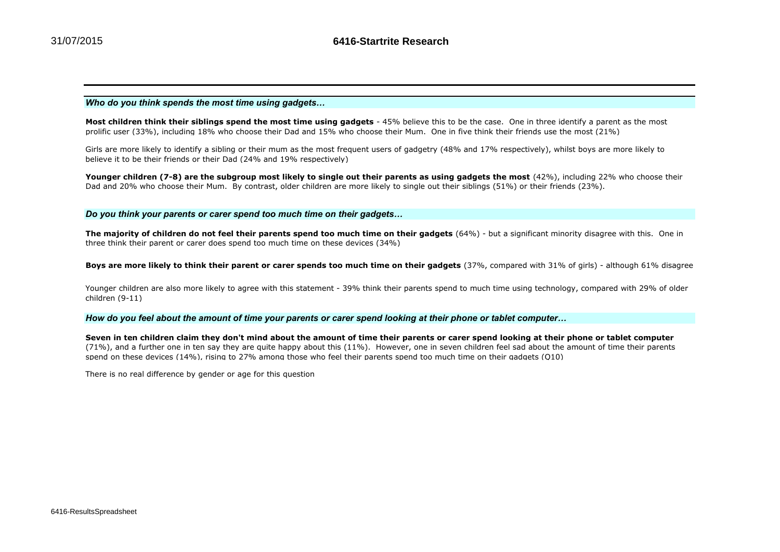# *Who do you think spends the most time using gadgets…*

**Most children think their siblings spend the most time using gadgets** - 45% believe this to be the case. One in three identify a parent as the most prolific user (33%), including 18% who choose their Dad and 15% who choose their Mum. One in five think their friends use the most (21%)

Girls are more likely to identify a sibling or their mum as the most frequent users of gadgetry (48% and 17% respectively), whilst boys are more likely to believe it to be their friends or their Dad (24% and 19% respectively)

Younger children (7-8) are the subgroup most likely to single out their parents as using gadgets the most (42%), including 22% who choose their Dad and 20% who choose their Mum. By contrast, older children are more likely to single out their siblings (51%) or their friends (23%).

### *Do you think your parents or carer spend too much time on their gadgets…*

**The majority of children do not feel their parents spend too much time on their gadgets** (64%) - but a significant minority disagree with this. One in three think their parent or carer does spend too much time on these devices (34%)

**Boys are more likely to think their parent or carer spends too much time on their gadgets** (37%, compared with 31% of girls) - although 61% disagree

Younger children are also more likely to agree with this statement - 39% think their parents spend to much time using technology, compared with 29% of older children (9-11)

*How do you feel about the amount of time your parents or carer spend looking at their phone or tablet computer…*

**Seven in ten children claim they don't mind about the amount of time their parents or carer spend looking at their phone or tablet computer**  (71%), and a further one in ten say they are quite happy about this (11%). However, one in seven children feel sad about the amount of time their parents spend on these devices (14%), rising to 27% among those who feel their parents spend too much time on their gadgets (Q10)

There is no real difference by gender or age for this question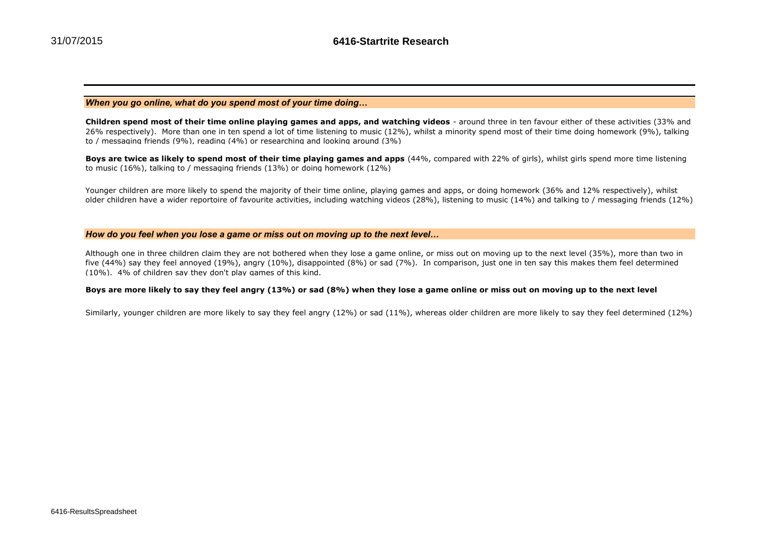# *When you go online, what do you spend most of your time doing…*

**Children spend most of their time online playing games and apps, and watching videos** - around three in ten favour either of these activities (33% and 26% respectively). More than one in ten spend a lot of time listening to music (12%), whilst a minority spend most of their time doing homework (9%), talking to / messaging friends (9%), reading (4%) or researching and looking around (3%)

**Boys are twice as likely to spend most of their time playing games and apps** (44%, compared with 22% of girls), whilst girls spend more time listening to music (16%), talking to / messaging friends (13%) or doing homework (12%)

Younger children are more likely to spend the majority of their time online, playing games and apps, or doing homework (36% and 12% respectively), whilst older children have a wider reportoire of favourite activities, including watching videos (28%), listening to music (14%) and talking to / messaging friends (12%)

### *How do you feel when you lose a game or miss out on moving up to the next level…*

Although one in three children claim they are not bothered when they lose a game online, or miss out on moving up to the next level (35%), more than two in five (44%) say they feel annoyed (19%), angry (10%), disappointed (8%) or sad (7%). In comparison, just one in ten say this makes them feel determined (10%). 4% of children say they don't play games of this kind.

### **Boys are more likely to say they feel angry (13%) or sad (8%) when they lose a game online or miss out on moving up to the next level**

Similarly, younger children are more likely to say they feel angry (12%) or sad (11%), whereas older children are more likely to say they feel determined (12%)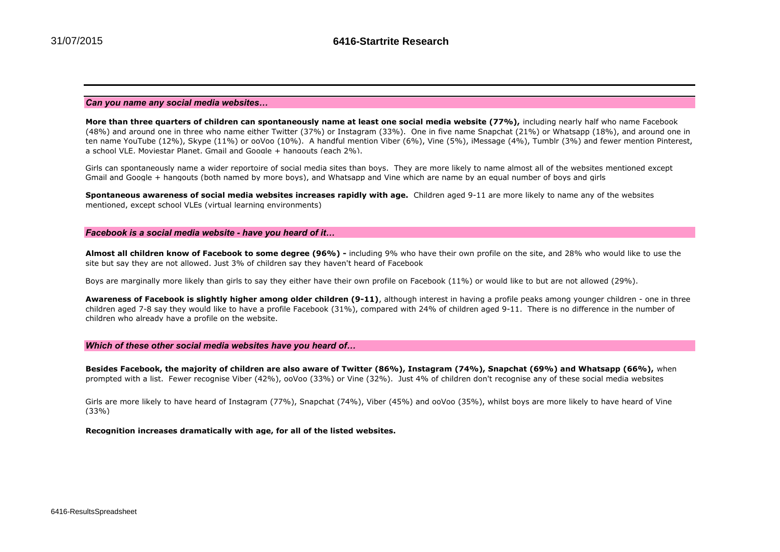### *Can you name any social media websites…*

**More than three quarters of children can spontaneously name at least one social media website (77%),** including nearly half who name Facebook (48%) and around one in three who name either Twitter (37%) or Instagram (33%). One in five name Snapchat (21%) or Whatsapp (18%), and around one in ten name YouTube (12%), Skype (11%) or ooVoo (10%). A handful mention Viber (6%), Vine (5%), iMessage (4%), Tumblr (3%) and fewer mention Pinterest, a school VLE, Moviestar Planet, Gmail and Google  $+$  hangouts (each 2%).

Girls can spontaneously name a wider reportoire of social media sites than boys. They are more likely to name almost all of the websites mentioned except Gmail and Google + hangouts (both named by more boys), and Whatsapp and Vine which are name by an equal number of boys and girls

**Spontaneous awareness of social media websites increases rapidly with age.** Children aged 9-11 are more likely to name any of the websites mentioned, except school VLEs (virtual learning environments)

### *Facebook is a social media website - have you heard of it…*

**Almost all children know of Facebook to some degree (96%) -** including 9% who have their own profile on the site, and 28% who would like to use the site but say they are not allowed. Just 3% of children say they haven't heard of Facebook

Boys are marginally more likely than girls to say they either have their own profile on Facebook (11%) or would like to but are not allowed (29%).

**Awareness of Facebook is slightly higher among older children (9-11)**, although interest in having a profile peaks among younger children - one in three children aged 7-8 say they would like to have a profile Facebook (31%), compared with 24% of children aged 9-11. There is no difference in the number of children who already have a profile on the website.

### *Which of these other social media websites have you heard of…*

**Besides Facebook, the majority of children are also aware of Twitter (86%), Instagram (74%), Snapchat (69%) and Whatsapp (66%),** when prompted with a list.Fewer recognise Viber (42%), ooVoo (33%) or Vine (32%). Just 4% of children don't recognise any of these social media websites

Girls are more likely to have heard of Instagram (77%), Snapchat (74%), Viber (45%) and ooVoo (35%), whilst boys are more likely to have heard of Vine (33%)

**Recognition increases dramatically with age, for all of the listed websites.**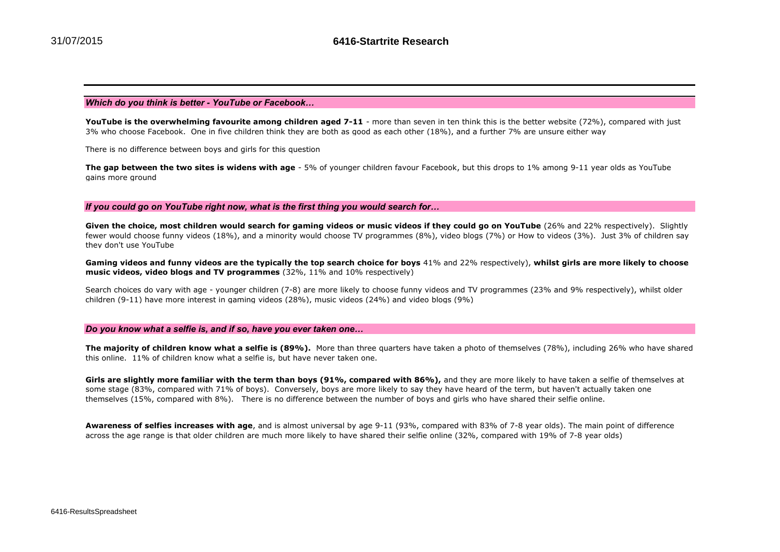### *Which do you think is better - YouTube or Facebook…*

YouTube is the overwhelming favourite among children aged 7-11 - more than seven in ten think this is the better website (72%), compared with just 3% who choose Facebook. One in five children think they are both as good as each other (18%), and a further 7% are unsure either way

There is no difference between boys and girls for this question

**The gap between the two sites is widens with age** - 5% of younger children favour Facebook, but this drops to 1% among 9-11 year olds as YouTube gains more ground

*If you could go on YouTube right now, what is the first thing you would search for…*

**Given the choice, most children would search for gaming videos or music videos if they could go on YouTube** (26% and 22% respectively). Slightly fewer would choose funny videos (18%), and a minority would choose TV programmes (8%), video blogs (7%) or How to videos (3%). Just 3% of children say they don't use YouTube

**Gaming videos and funny videos are the typically the top search choice for boys** 41% and 22% respectively), **whilst girls are more likely to choose music videos, video blogs and TV programmes** (32%, 11% and 10% respectively)

Search choices do vary with age - younger children (7-8) are more likely to choose funny videos and TV programmes (23% and 9% respectively), whilst older children (9-11) have more interest in gaming videos (28%), music videos (24%) and video blogs (9%)

#### *Do you know what a selfie is, and if so, have you ever taken one…*

**The majority of children know what a selfie is (89%).** More than three quarters have taken a photo of themselves (78%), including 26% who have shared this online. 11% of children know what a selfie is, but have never taken one.

**Girls are slightly more familiar with the term than boys (91%, compared with 86%),** and they are more likely to have taken a selfie of themselyes at some stage (83%, compared with 71% of boys). Conversely, boys are more likely to say they have heard of the term, but haven't actually taken one themselves (15%, compared with 8%). There is no difference between the number of boys and girls who have shared their selfie online.

**Awareness of selfies increases with age**, and is almost universal by age 9-11 (93%, compared with 83% of 7-8 year olds). The main point of difference across the age range is that older children are much more likely to have shared their selfie online (32%, compared with 19% of 7-8 year olds)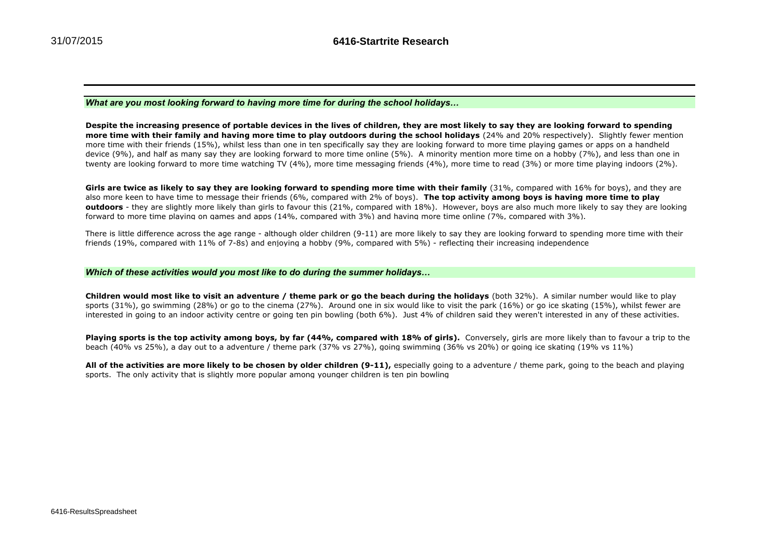*What are you most looking forward to having more time for during the school holidays…*

**Despite the increasing presence of portable devices in the lives of children, they are most likely to say they are looking forward to spending more time with their family and having more time to play outdoors during the school holidays** (24% and 20% respectively). Slightly fewer mention more time with their friends (15%), whilst less than one in ten specifically say they are looking forward to more time playing games or apps on a handheld device (9%), and half as many say they are looking forward to more time online (5%). A minority mention more time on a hobby (7%), and less than one in twenty are looking forward to more time watching TV (4%), more time messaging friends (4%), more time to read (3%) or more time playing indoors (2%).

**Girls are twice as likely to say they are looking forward to spending more time with their family** (31%, compared with 16% for boys), and they are also more keen to have time to message their friends (6%, compared with 2% of boys). **The top activity among boys is having more time to play outdoors** - they are slightly more likely than girls to favour this (21%, compared with 18%). However, boys are also much more likely to say they are looking forward to more time playing on games and apps (14%, compared with 3%) and having more time online (7%, compared with 3%).

There is little difference across the age range - although older children (9-11) are more likely to say they are looking forward to spending more time with their friends (19%, compared with 11% of 7-8s) and enjoying a hobby (9%, compared with 5%) - reflecting their increasing independence

### *Which of these activities would you most like to do during the summer holidays…*

**Children would most like to visit an adventure / theme park or go the beach during the holidays** (both 32%). A similar number would like to play sports (31%), go swimming (28%) or go to the cinema (27%). Around one in six would like to visit the park (16%) or go ice skating (15%), whilst fewer are interested in going to an indoor activity centre or going ten pin bowling (both 6%). Just 4% of children said they weren't interested in any of these activities.

**Playing sports is the top activity among boys, by far (44%, compared with 18% of girls).** Conversely, girls are more likely than to favour a trip to the beach (40% vs 25%), a day out to a adventure / theme park (37% vs 27%), going swimming (36% vs 20%) or going ice skating (19% vs 11%)

All of the activities are more likely to be chosen by older children (9-11), especially going to a adventure / theme park, going to the beach and playing sports. The only activity that is slightly more popular among younger children is ten pin bowling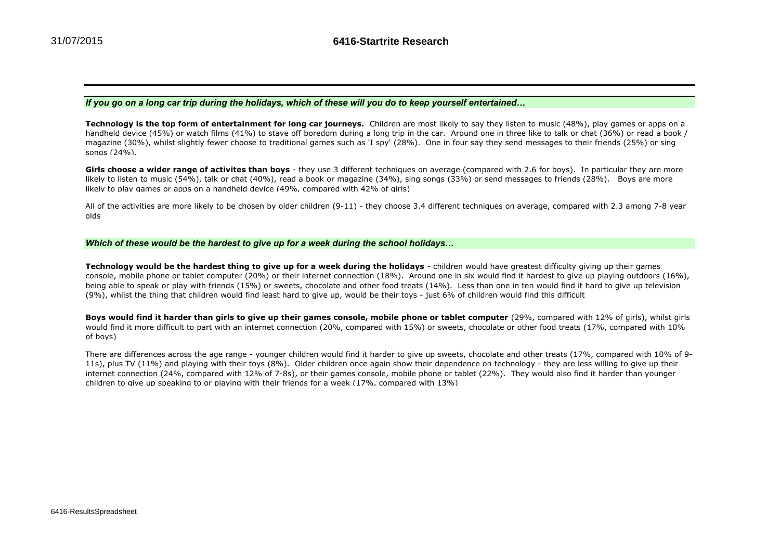# *If you go on a long car trip during the holidays, which of these will you do to keep yourself entertained…*

**Technology is the top form of entertainment for long car journeys.** Children are most likely to say they listen to music (48%), play games or apps on a handheld device (45%) or watch films (41%) to stave off boredom during a long trip in the car. Around one in three like to talk or chat (36%) or read a book / magazine (30%), whilst slightly fewer choose to traditional games such as 'I spy' (28%). One in four say they send messages to their friends (25%) or sing songs (24%).

Girls choose a wider range of activites than boys - they use 3 different techniques on average (compared with 2.6 for boys). In particular they are more likely to listen to music (54%), talk or chat (40%), read a book or magazine (34%), sing songs (33%) or send messages to friends (28%). Boys are more likely to play games or apps on a handheld device (49%, compared with 42% of girls)

All of the activities are more likely to be chosen by older children (9-11) - they choose 3.4 different techniques on average, compared with 2.3 among 7-8 year olds

### *Which of these would be the hardest to give up for a week during the school holidays…*

**Technology would be the hardest thing to give up for a week during the holidays** - children would have greatest difficulty giving up their games console, mobile phone or tablet computer (20%) or their internet connection (18%). Around one in six would find it hardest to give up playing outdoors (16%), being able to speak or play with friends (15%) or sweets, chocolate and other food treats (14%). Less than one in ten would find it hard to give up television (9%), whilst the thing that children would find least hard to give up, would be their toys - just 6% of children would find this difficult

**Boys would find it harder than girls to give up their games console, mobile phone or tablet computer** (29%, compared with 12% of girls), whilst girls would find it more difficult to part with an internet connection (20%, compared with 15%) or sweets, chocolate or other food treats (17%, compared with 10% of boys)

There are differences across the age range - younger children would find it harder to give up sweets, chocolate and other treats (17%, compared with 10% of 9- 11s), plus TV (11%) and playing with their toys (8%). Older children once again show their dependence on technology - they are less willing to give up their internet connection (24%, compared with 12% of 7-8s), or their games console, mobile phone or tablet (22%). They would also find it harder than younger children to give up speaking to or playing with their friends for a week (17%, compared with 13%)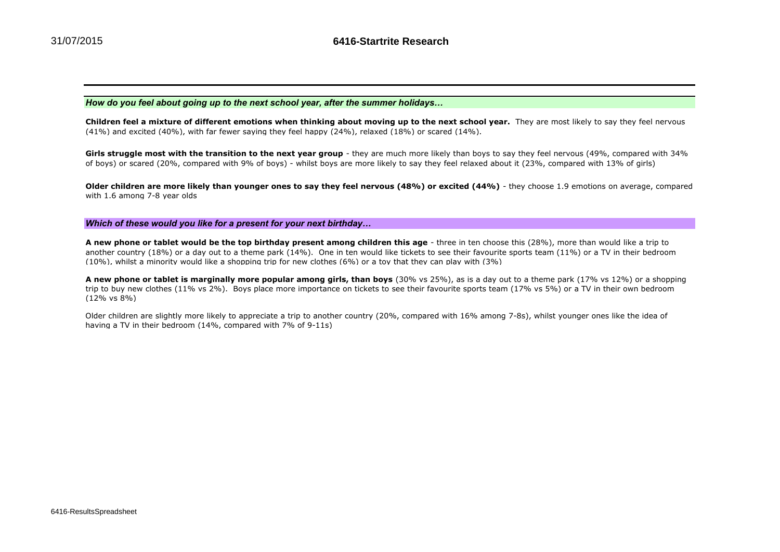*How do you feel about going up to the next school year, after the summer holidays…*

**Children feel a mixture of different emotions when thinking about moving up to the next school year.** They are most likely to say they feel nervous (41%) and excited (40%), with far fewer saying they feel happy (24%), relaxed (18%) or scared (14%).

**Girls struggle most with the transition to the next year group** - they are much more likely than boys to say they feel nervous (49%, compared with 34% of boys) or scared (20%, compared with 9% of boys) - whilst boys are more likely to say they feel relaxed about it (23%, compared with 13% of girls)

**Older children are more likely than younger ones to say they feel nervous (48%) or excited (44%)** - they choose 1.9 emotions on average, compared with 1.6 among 7-8 year olds

*Which of these would you like for a present for your next birthday…*

**A new phone or tablet would be the top birthday present among children this age** - three in ten choose this (28%), more than would like a trip to another country (18%) or a day out to a theme park (14%). One in ten would like tickets to see their favourite sports team (11%) or a TV in their bedroom (10%), whilst a minority would like a shopping trip for new clothes (6%) or a toy that they can play with (3%)

**A new phone or tablet is marginally more popular among girls, than boys** (30% vs 25%), as is a day out to a theme park (17% vs 12%) or a shopping trip to buy new clothes (11% vs 2%). Boys place more importance on tickets to see their favourite sports team (17% vs 5%) or a TV in their own bedroom (12% vs 8%)

Older children are slightly more likely to appreciate a trip to another country (20%, compared with 16% among 7-8s), whilst younger ones like the idea of having a TV in their bedroom (14%, compared with 7% of 9-11s)